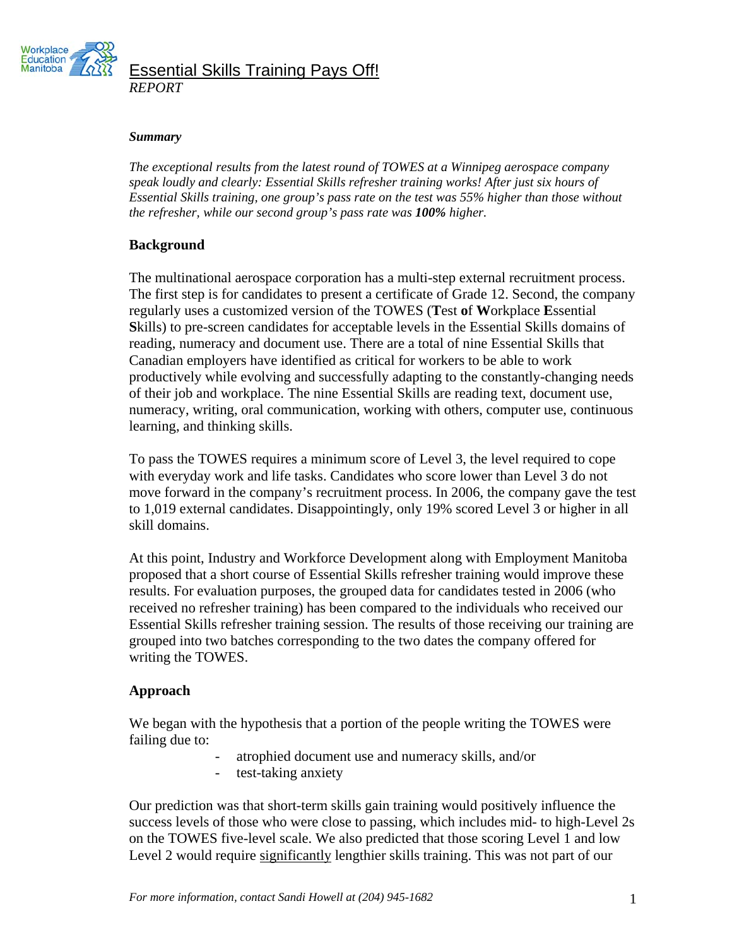

Essential Skills Training Pays Off! *REPORT* 

#### *Summary*

*The exceptional results from the latest round of TOWES at a Winnipeg aerospace company speak loudly and clearly: Essential Skills refresher training works! After just six hours of Essential Skills training, one group's pass rate on the test was 55% higher than those without the refresher, while our second group's pass rate was 100% higher.* 

### **Background**

The multinational aerospace corporation has a multi-step external recruitment process. The first step is for candidates to present a certificate of Grade 12. Second, the company regularly uses a customized version of the TOWES (**T**est **o**f **W**orkplace **E**ssential **S**kills) to pre-screen candidates for acceptable levels in the Essential Skills domains of reading, numeracy and document use. There are a total of nine Essential Skills that Canadian employers have identified as critical for workers to be able to work productively while evolving and successfully adapting to the constantly-changing needs of their job and workplace. The nine Essential Skills are reading text, document use, numeracy, writing, oral communication, working with others, computer use, continuous learning, and thinking skills.

To pass the TOWES requires a minimum score of Level 3, the level required to cope with everyday work and life tasks. Candidates who score lower than Level 3 do not move forward in the company's recruitment process. In 2006, the company gave the test to 1,019 external candidates. Disappointingly, only 19% scored Level 3 or higher in all skill domains.

At this point, Industry and Workforce Development along with Employment Manitoba proposed that a short course of Essential Skills refresher training would improve these results. For evaluation purposes, the grouped data for candidates tested in 2006 (who received no refresher training) has been compared to the individuals who received our Essential Skills refresher training session. The results of those receiving our training are grouped into two batches corresponding to the two dates the company offered for writing the TOWES.

## **Approach**

We began with the hypothesis that a portion of the people writing the TOWES were failing due to:

- atrophied document use and numeracy skills, and/or
- test-taking anxiety

Our prediction was that short-term skills gain training would positively influence the success levels of those who were close to passing, which includes mid- to high-Level 2s on the TOWES five-level scale. We also predicted that those scoring Level 1 and low Level 2 would require significantly lengthier skills training. This was not part of our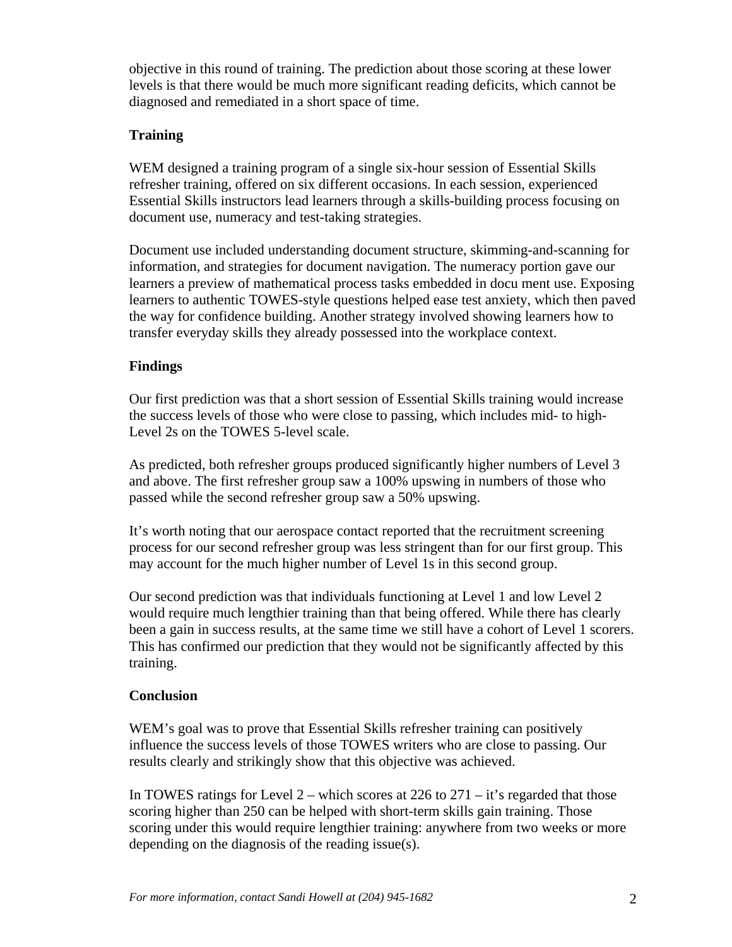objective in this round of training. The prediction about those scoring at these lower levels is that there would be much more significant reading deficits, which cannot be diagnosed and remediated in a short space of time.

## **Training**

WEM designed a training program of a single six-hour session of Essential Skills refresher training, offered on six different occasions. In each session, experienced Essential Skills instructors lead learners through a skills-building process focusing on document use, numeracy and test-taking strategies.

Document use included understanding document structure, skimming-and-scanning for information, and strategies for document navigation. The numeracy portion gave our learners a preview of mathematical process tasks embedded in docu ment use. Exposing learners to authentic TOWES-style questions helped ease test anxiety, which then paved the way for confidence building. Another strategy involved showing learners how to transfer everyday skills they already possessed into the workplace context.

# **Findings**

Our first prediction was that a short session of Essential Skills training would increase the success levels of those who were close to passing, which includes mid- to high-Level 2s on the TOWES 5-level scale.

As predicted, both refresher groups produced significantly higher numbers of Level 3 and above. The first refresher group saw a 100% upswing in numbers of those who passed while the second refresher group saw a 50% upswing.

It's worth noting that our aerospace contact reported that the recruitment screening process for our second refresher group was less stringent than for our first group. This may account for the much higher number of Level 1s in this second group.

Our second prediction was that individuals functioning at Level 1 and low Level 2 would require much lengthier training than that being offered. While there has clearly been a gain in success results, at the same time we still have a cohort of Level 1 scorers. This has confirmed our prediction that they would not be significantly affected by this training.

## **Conclusion**

WEM's goal was to prove that Essential Skills refresher training can positively influence the success levels of those TOWES writers who are close to passing. Our results clearly and strikingly show that this objective was achieved.

In TOWES ratings for Level  $2$  – which scores at 226 to 271 – it's regarded that those scoring higher than 250 can be helped with short-term skills gain training. Those scoring under this would require lengthier training: anywhere from two weeks or more depending on the diagnosis of the reading issue(s).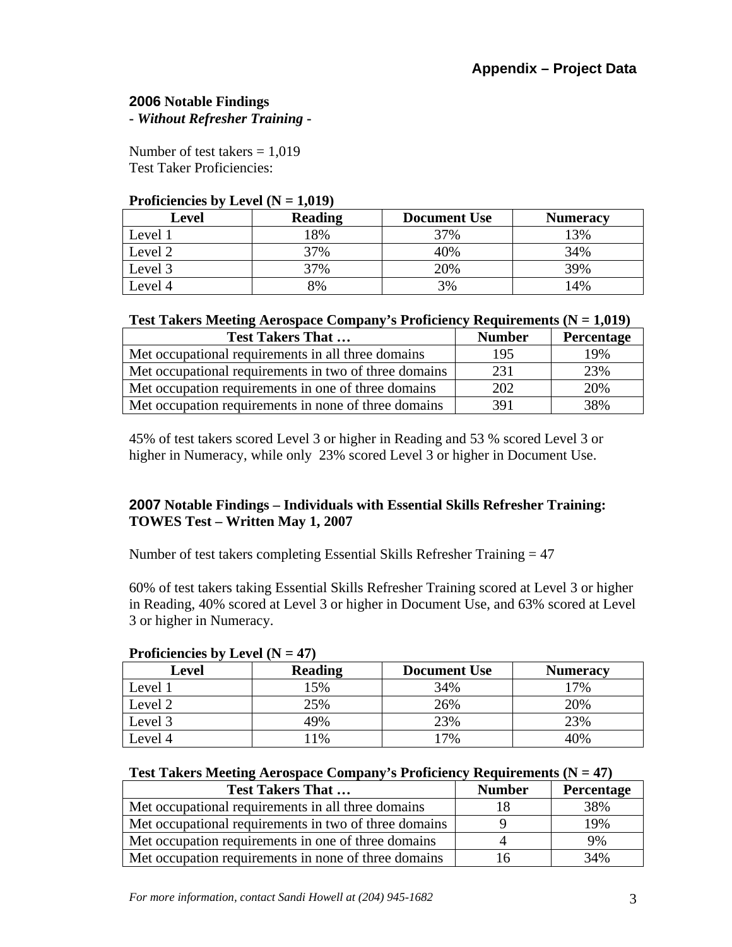## **2006 Notable Findings -** *Without Refresher Training* **-**

Number of test takers  $= 1.019$ Test Taker Proficiencies:

#### **Proficiencies by Level (** $N = 1,019$ **)**

| Level              | <b>Reading</b> | <b>Document Use</b> | <b>Numeracy</b> |
|--------------------|----------------|---------------------|-----------------|
| Level 1            | .8%            | 37%                 | 3%              |
| Level <sub>2</sub> | 37%            | 40%                 | 34%             |
| Level 3            | 37%            | 20%                 | 39%             |
| Level 4            | 8%             | 3%                  | 14%             |

|  |  |  | <b>Test Takers Meeting Aerospace Company's Proficiency Requirements (<math>N = 1,019</math>)</b> |
|--|--|--|--------------------------------------------------------------------------------------------------|
|  |  |  |                                                                                                  |

| <b>Test Takers That </b>                              | <b>Number</b> | Percentage |
|-------------------------------------------------------|---------------|------------|
| Met occupational requirements in all three domains    | 195           | 19%        |
| Met occupational requirements in two of three domains | 231           | 23%        |
| Met occupation requirements in one of three domains   | 202           | 20%        |
| Met occupation requirements in none of three domains  | 391           | 38%        |

45% of test takers scored Level 3 or higher in Reading and 53 % scored Level 3 or higher in Numeracy, while only 23% scored Level 3 or higher in Document Use.

# **2007 Notable Findings – Individuals with Essential Skills Refresher Training: TOWES Test – Written May 1, 2007**

Number of test takers completing Essential Skills Refresher Training = 47

60% of test takers taking Essential Skills Refresher Training scored at Level 3 or higher in Reading, 40% scored at Level 3 or higher in Document Use, and 63% scored at Level 3 or higher in Numeracy.

| I FOREIGNLES By LIGHT $(11 - 77)$ |                |                     |                 |  |
|-----------------------------------|----------------|---------------------|-----------------|--|
| Level                             | <b>Reading</b> | <b>Document Use</b> | <b>Numeracy</b> |  |
| Level 1                           | .5%            | 34%                 | 7%              |  |
| Level 2                           | 25%            | 26%                 | 20%             |  |
| Level 3                           | 49%            | 23%                 | 23%             |  |
| Level 4                           | 1%             | 7%                  | 40%             |  |

## **Proficiencies by Level (N = 47)**

### **Test Takers Meeting Aerospace Company's Proficiency Requirements (N = 47)**

| <b>Test Takers That </b>                              | <b>Number</b> | <b>Percentage</b> |
|-------------------------------------------------------|---------------|-------------------|
| Met occupational requirements in all three domains    |               | 38%               |
| Met occupational requirements in two of three domains |               | 19%               |
| Met occupation requirements in one of three domains   |               | 9%                |
| Met occupation requirements in none of three domains  | 16            | 34%               |